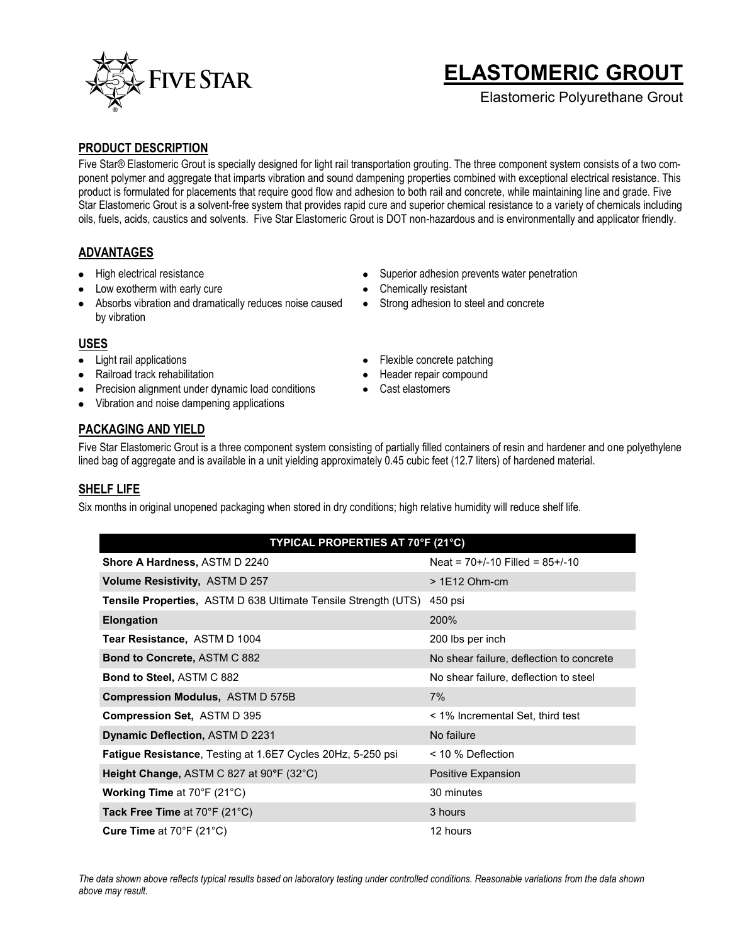

# **ELASTOMERIC GROUT**

Elastomeric Polyurethane Grout

#### **PRODUCT DESCRIPTION**

Five Star® Elastomeric Grout is specially designed for light rail transportation grouting. The three component system consists of a two component polymer and aggregate that imparts vibration and sound dampening properties combined with exceptional electrical resistance. This product is formulated for placements that require good flow and adhesion to both rail and concrete, while maintaining line and grade. Five Star Elastomeric Grout is a solvent-free system that provides rapid cure and superior chemical resistance to a variety of chemicals including oils, fuels, acids, caustics and solvents. Five Star Elastomeric Grout is DOT non-hazardous and is environmentally and applicator friendly.

#### **ADVANTAGES**

- High electrical resistance
- Low exotherm with early cure
- Absorbs vibration and dramatically reduces noise caused by vibration

### Superior adhesion prevents water penetration

- Chemically resistant
- Strong adhesion to steel and concrete

#### **USES**

- Light rail applications
- Railroad track rehabilitation
- Precision alignment under dynamic load conditions
- Vibration and noise dampening applications

#### Flexible concrete patching  $\bullet$

- Header repair compound
- Cast elastomers

#### **PACKAGING AND YIELD**

Five Star Elastomeric Grout is a three component system consisting of partially filled containers of resin and hardener and one polyethylene lined bag of aggregate and is available in a unit yielding approximately 0.45 cubic feet (12.7 liters) of hardened material.

#### **SHELF LIFE**

Six months in original unopened packaging when stored in dry conditions; high relative humidity will reduce shelf life.

| TYPICAL PROPERTIES AT 70°F (21°C) |  |
|-----------------------------------|--|
|-----------------------------------|--|

| <b>Shore A Hardness, ASTM D 2240</b>                                  | Neat = $70+/-10$ Filled = $85+/-10$      |
|-----------------------------------------------------------------------|------------------------------------------|
| <b>Volume Resistivity, ASTM D 257</b>                                 | $>1E12$ Ohm-cm                           |
| <b>Tensile Properties, ASTM D 638 Ultimate Tensile Strength (UTS)</b> | 450 psi                                  |
| <b>Elongation</b>                                                     | 200%                                     |
| Tear Resistance, ASTM D 1004                                          | 200 lbs per inch                         |
| <b>Bond to Concrete, ASTM C 882</b>                                   | No shear failure, deflection to concrete |
| <b>Bond to Steel, ASTM C 882</b>                                      | No shear failure, deflection to steel    |
| <b>Compression Modulus, ASTM D 575B</b>                               | 7%                                       |
| <b>Compression Set, ASTM D 395</b>                                    | < 1% Incremental Set, third test         |
| <b>Dynamic Deflection, ASTM D 2231</b>                                | No failure                               |
| <b>Fatigue Resistance, Testing at 1.6E7 Cycles 20Hz, 5-250 psi</b>    | < 10 % Deflection                        |
| Height Change, ASTM C 827 at 90°F (32°C)                              | Positive Expansion                       |
| <b>Working Time at 70°F (21°C)</b>                                    | 30 minutes                               |
| Tack Free Time at $70^{\circ}$ F (21 $^{\circ}$ C)                    | 3 hours                                  |
| Cure Time at $70^{\circ}$ F (21 $^{\circ}$ C)                         | 12 hours                                 |

*The data shown above reflects typical results based on laboratory testing under controlled conditions. Reasonable variations from the data shown above may result.*